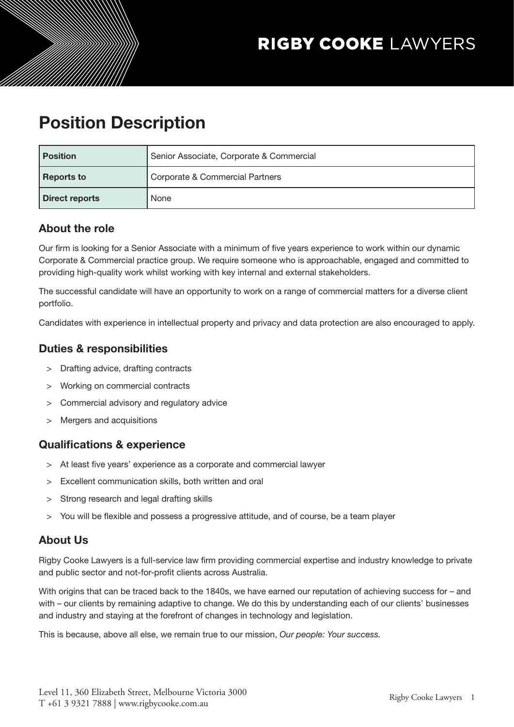# Position Description

| <b>Position</b>   | Senior Associate, Corporate & Commercial |
|-------------------|------------------------------------------|
| <b>Reports to</b> | Corporate & Commercial Partners          |
| Direct reports    | None                                     |

## About the role

Our firm is looking for a Senior Associate with a minimum of five years experience to work within our dynamic Corporate & Commercial practice group. We require someone who is approachable, engaged and committed to providing high-quality work whilst working with key internal and external stakeholders.

The successful candidate will have an opportunity to work on a range of commercial matters for a diverse client portfolio.

Candidates with experience in intellectual property and privacy and data protection are also encouraged to apply.

## Duties & responsibilities

- > Drafting advice, drafting contracts
- > Working on commercial contracts
- > Commercial advisory and regulatory advice
- > Mergers and acquisitions

#### Qualifications & experience

- > At least five years' experience as a corporate and commercial lawyer
- > Excellent communication skills, both written and oral
- > Strong research and legal drafting skills
- > You will be flexible and possess a progressive attitude, and of course, be a team player

#### About Us

Rigby Cooke Lawyers is a full-service law firm providing commercial expertise and industry knowledge to private and public sector and not-for-profit clients across Australia.

With origins that can be traced back to the 1840s, we have earned our reputation of achieving success for – and with – our clients by remaining adaptive to change. We do this by understanding each of our clients' businesses and industry and staying at the forefront of changes in technology and legislation.

This is because, above all else, we remain true to our mission, *Our people: Your success.*